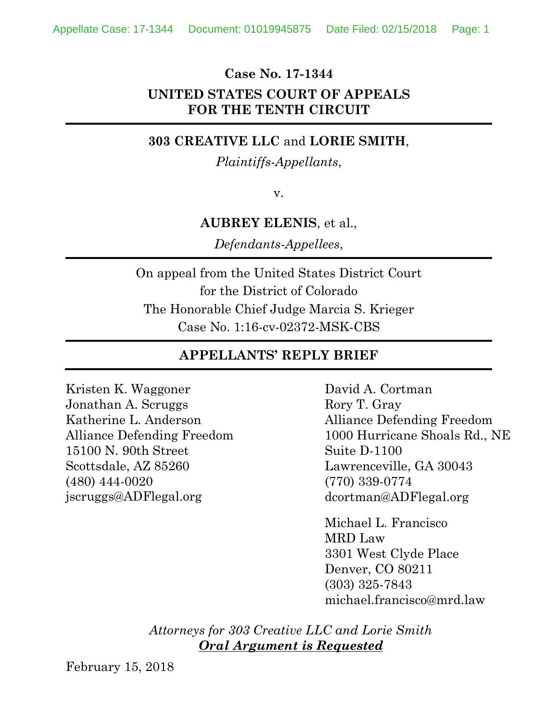#### **Case No. 17-1344**

## **UNITED STATES COURT OF APPEALS FOR THE TENTH CIRCUIT**

### **303 CREATIVE LLC** and **LORIE SMITH**,

#### *Plaintiffs-Appellants*,

v.

#### **AUBREY ELENIS**, et al.,

*Defendants-Appellees*,

On appeal from the United States District Court for the District of Colorado The Honorable Chief Judge Marcia S. Krieger Case No. 1:16-cv-02372-MSK-CBS

# **APPELLANTS' REPLY BRIEF**

Kristen K. Waggoner Jonathan A. Scruggs Katherine L. Anderson Alliance Defending Freedom 15100 N. 90th Street Scottsdale, AZ 85260 (480) 444-0020 jscruggs@ADFlegal.org

David A. Cortman Rory T. Gray Alliance Defending Freedom 1000 Hurricane Shoals Rd., NE Suite D-1100 Lawrenceville, GA 30043 (770) 339-0774 dcortman@ADFlegal.org

Michael L. Francisco MRD Law 3301 West Clyde Place Denver, CO 80211 (303) 325-7843 michael.francisco@mrd.law

*Attorneys for 303 Creative LLC and Lorie Smith Oral Argument is Requested*

February 15, 2018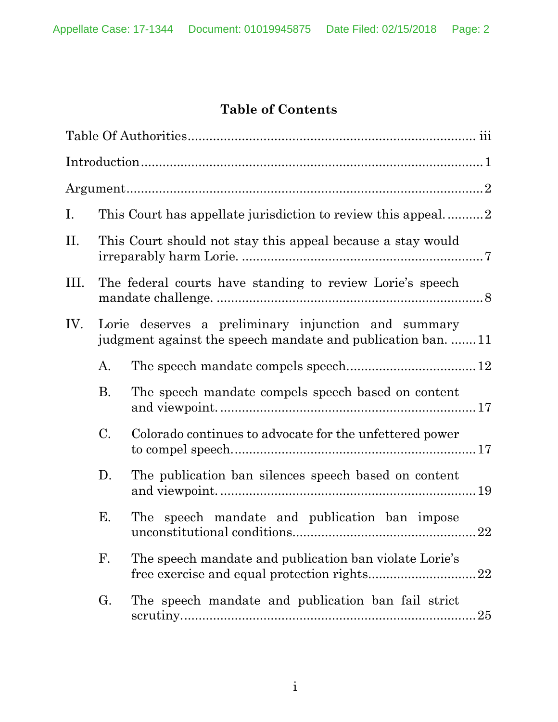# **Table of Contents**

|           | This Court has appellate jurisdiction to review this appeal2                                                       |
|-----------|--------------------------------------------------------------------------------------------------------------------|
|           | This Court should not stay this appeal because a stay would                                                        |
|           | The federal courts have standing to review Lorie's speech                                                          |
|           | Lorie deserves a preliminary injunction and summary<br>judgment against the speech mandate and publication ban. 11 |
| A.        |                                                                                                                    |
| <b>B.</b> | The speech mandate compels speech based on content                                                                 |
| $\rm C$ . | Colorado continues to advocate for the unfettered power                                                            |
| D.        | The publication ban silences speech based on content                                                               |
| Е.        | The speech mandate and publication ban impose<br>22                                                                |
| F.        | The speech mandate and publication ban violate Lorie's                                                             |
| G.        | The speech mandate and publication ban fail strict<br>25                                                           |
|           |                                                                                                                    |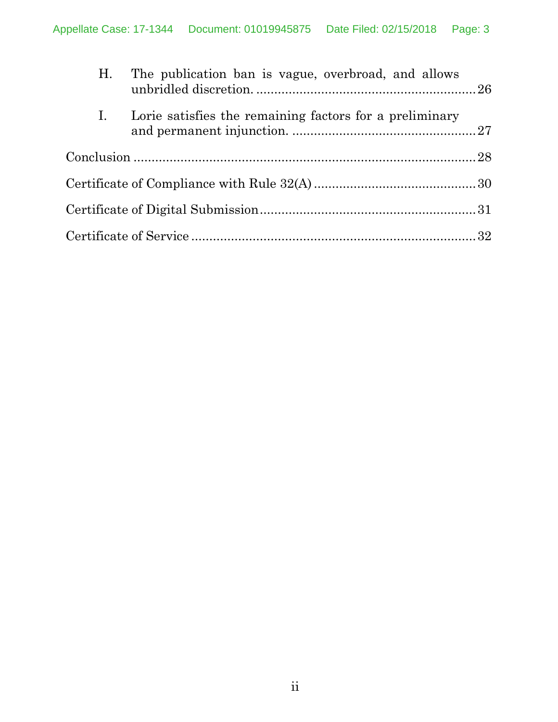|                | H. The publication ban is vague, overbroad, and allows  |  |
|----------------|---------------------------------------------------------|--|
| $\mathbf{I}$ . | Lorie satisfies the remaining factors for a preliminary |  |
|                |                                                         |  |
|                |                                                         |  |
|                |                                                         |  |
|                |                                                         |  |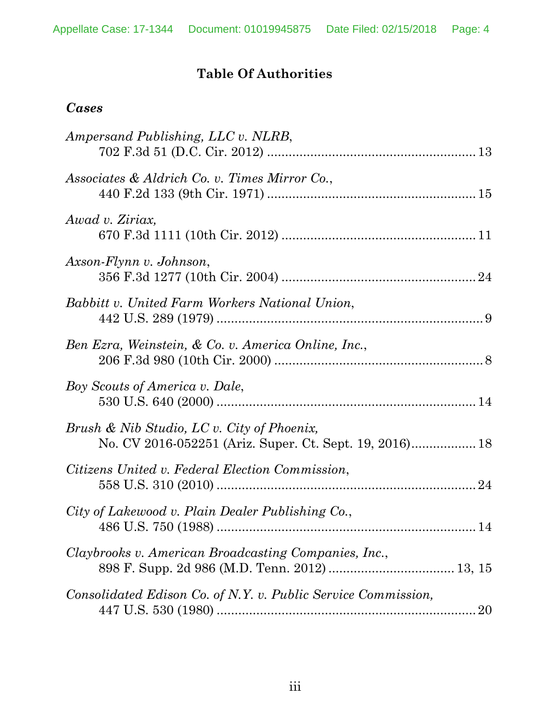# **Table Of Authorities**

## *Cases*

| Ampersand Publishing, LLC v. NLRB,                                                                    |  |
|-------------------------------------------------------------------------------------------------------|--|
| Associates & Aldrich Co. v. Times Mirror Co.,                                                         |  |
| Awad v. Ziriax,                                                                                       |  |
| Axson-Flynn v. Johnson,                                                                               |  |
| Babbitt v. United Farm Workers National Union,                                                        |  |
| Ben Ezra, Weinstein, & Co. v. America Online, Inc.,                                                   |  |
| Boy Scouts of America v. Dale,                                                                        |  |
| Brush & Nib Studio, LC v. City of Phoenix,<br>No. CV 2016-052251 (Ariz. Super. Ct. Sept. 19, 2016) 18 |  |
| Citizens United v. Federal Election Commission,                                                       |  |
| City of Lakewood v. Plain Dealer Publishing Co.,                                                      |  |
| Claybrooks v. American Broadcasting Companies, Inc.,                                                  |  |
| Consolidated Edison Co. of N.Y. v. Public Service Commission,                                         |  |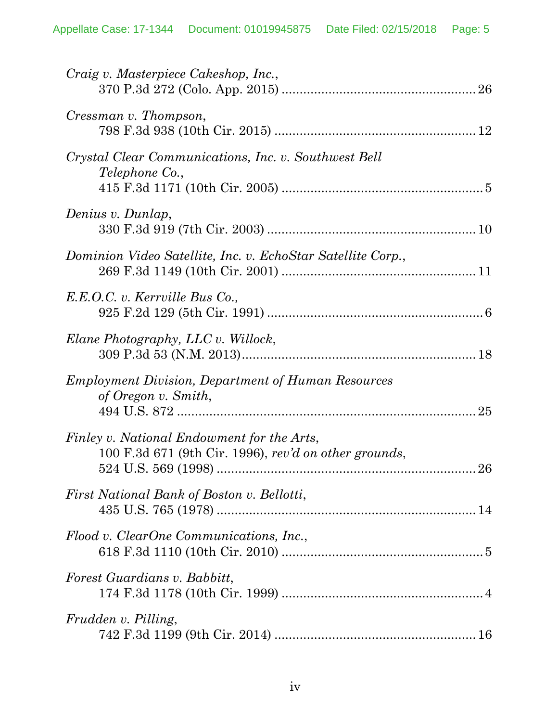| Craig v. Masterpiece Cakeshop, Inc.,                                                                |  |
|-----------------------------------------------------------------------------------------------------|--|
| Cressman v. Thompson,                                                                               |  |
| Crystal Clear Communications, Inc. v. Southwest Bell<br><i>Telephone</i> Co.,                       |  |
| Denius v. Dunlap,                                                                                   |  |
| Dominion Video Satellite, Inc. v. EchoStar Satellite Corp.,                                         |  |
| E.E.O.C. v. Kerrville Bus Co.,                                                                      |  |
| Elane Photography, LLC v. Willock,                                                                  |  |
| <i>Employment Division, Department of Human Resources</i><br>of Oregon v. Smith,                    |  |
| Finley v. National Endowment for the Arts,<br>100 F.3d 671 (9th Cir. 1996), rev'd on other grounds, |  |
| First National Bank of Boston v. Bellotti,                                                          |  |
| Flood v. ClearOne Communications, Inc.,                                                             |  |
| Forest Guardians v. Babbitt,                                                                        |  |
| <i>Frudden v. Pilling,</i>                                                                          |  |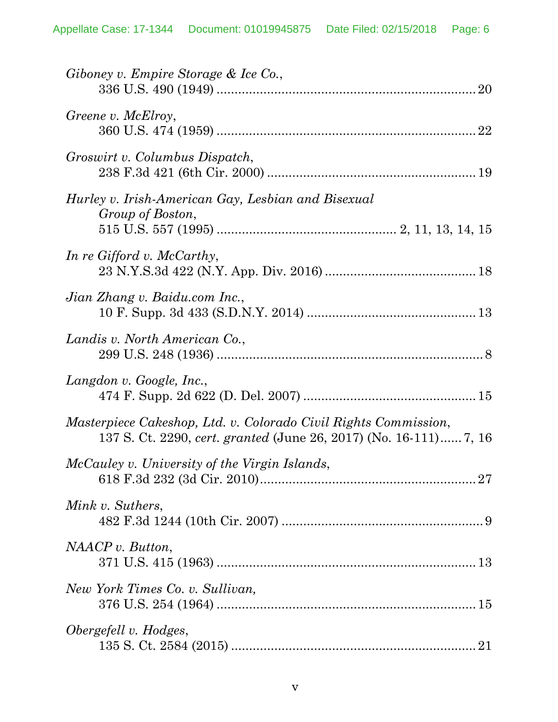| Giboney v. Empire Storage & Ice Co.,                                                                                                 |
|--------------------------------------------------------------------------------------------------------------------------------------|
| Greene v. McElroy,                                                                                                                   |
| Groswirt v. Columbus Dispatch,                                                                                                       |
| Hurley v. Irish-American Gay, Lesbian and Bisexual<br>Group of Boston,                                                               |
| In re Gifford v. McCarthy,                                                                                                           |
| Jian Zhang v. Baidu.com Inc.,                                                                                                        |
| Landis v. North American Co.,                                                                                                        |
| Langdon v. Google, Inc.,                                                                                                             |
| Masterpiece Cakeshop, Ltd. v. Colorado Civil Rights Commission,<br>137 S. Ct. 2290, cert. granted (June 26, 2017) (No. 16-111) 7, 16 |
| McCauley v. University of the Virgin Islands,                                                                                        |
| Mink v. Suthers,                                                                                                                     |
| NAACP v. Button,                                                                                                                     |
| New York Times Co. v. Sullivan,                                                                                                      |
| Obergefell v. Hodges,                                                                                                                |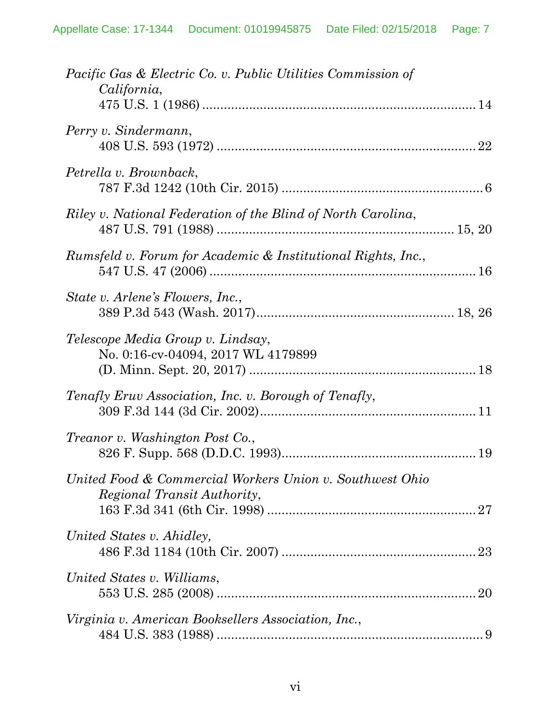| <i>Pacific Gas &amp; Electric Co. v. Public Utilities Commission of</i><br>California,  |
|-----------------------------------------------------------------------------------------|
| Perry v. Sindermann,                                                                    |
| Petrella v. Brownback,                                                                  |
| Riley v. National Federation of the Blind of North Carolina,                            |
| Rumsfeld v. Forum for Academic & Institutional Rights, Inc.,                            |
| State v. Arlene's Flowers, Inc.,                                                        |
| Telescope Media Group v. Lindsay,<br>No. 0:16-cv-04094, 2017 WL 4179899                 |
| Tenafly Eruv Association, Inc. v. Borough of Tenafly,                                   |
| <i>Treanor v. Washington Post Co.,</i>                                                  |
| United Food & Commercial Workers Union v. Southwest Ohio<br>Regional Transit Authority, |
| United States v. Ahidley,                                                               |
| United States v. Williams,                                                              |
| Virginia v. American Booksellers Association, Inc.,                                     |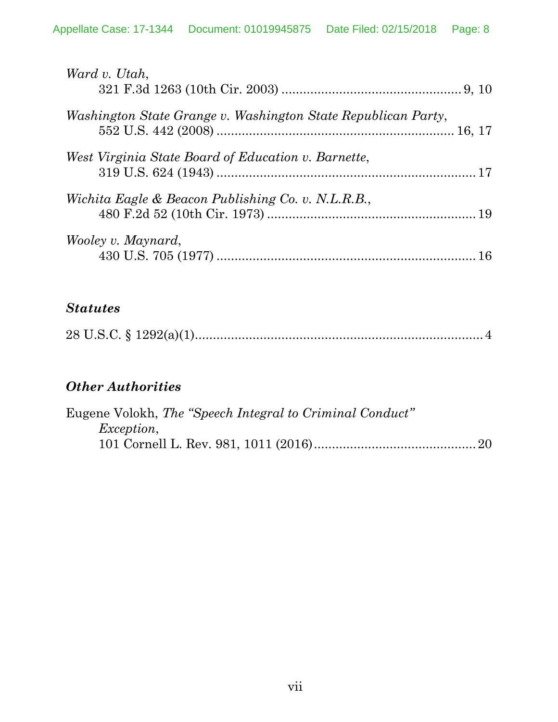| Ward v. Utah,                                                 |  |
|---------------------------------------------------------------|--|
| Washington State Grange v. Washington State Republican Party, |  |
| West Virginia State Board of Education v. Barnette,           |  |
| Wichita Eagle & Beacon Publishing Co. v. N.L.R.B.,            |  |
| Wooley v. Maynard,                                            |  |

# *Statutes*

|--|--|

# *Other Authorities*

|                   | Eugene Volokh, The "Speech Integral to Criminal Conduct" |  |
|-------------------|----------------------------------------------------------|--|
| <i>Exception,</i> |                                                          |  |
|                   |                                                          |  |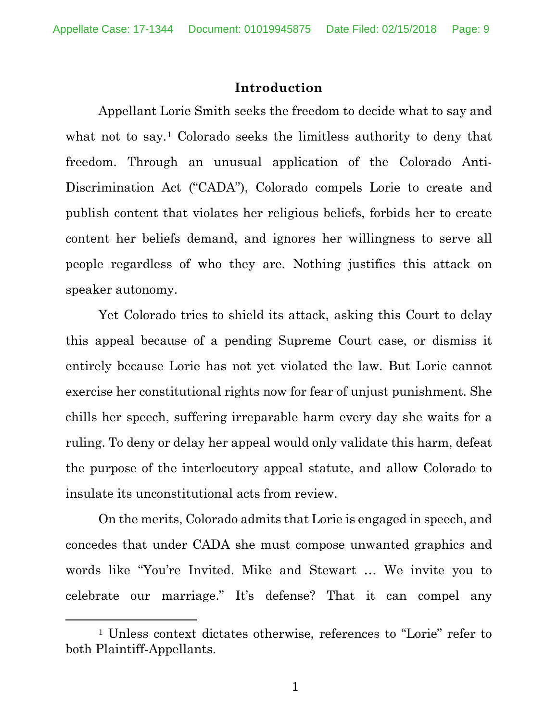#### **Introduction**

Appellant Lorie Smith seeks the freedom to decide what to say and what not to say.<sup>1</sup> Colorado seeks the limitless authority to deny that freedom. Through an unusual application of the Colorado Anti-Discrimination Act ("CADA"), Colorado compels Lorie to create and publish content that violates her religious beliefs, forbids her to create content her beliefs demand, and ignores her willingness to serve all people regardless of who they are. Nothing justifies this attack on speaker autonomy.

Yet Colorado tries to shield its attack, asking this Court to delay this appeal because of a pending Supreme Court case, or dismiss it entirely because Lorie has not yet violated the law. But Lorie cannot exercise her constitutional rights now for fear of unjust punishment. She chills her speech, suffering irreparable harm every day she waits for a ruling. To deny or delay her appeal would only validate this harm, defeat the purpose of the interlocutory appeal statute, and allow Colorado to insulate its unconstitutional acts from review.

On the merits, Colorado admits that Lorie is engaged in speech, and concedes that under CADA she must compose unwanted graphics and words like "You're Invited. Mike and Stewart … We invite you to celebrate our marriage." It's defense? That it can compel any

 <sup>1</sup> Unless context dictates otherwise, references to "Lorie" refer to both Plaintiff-Appellants.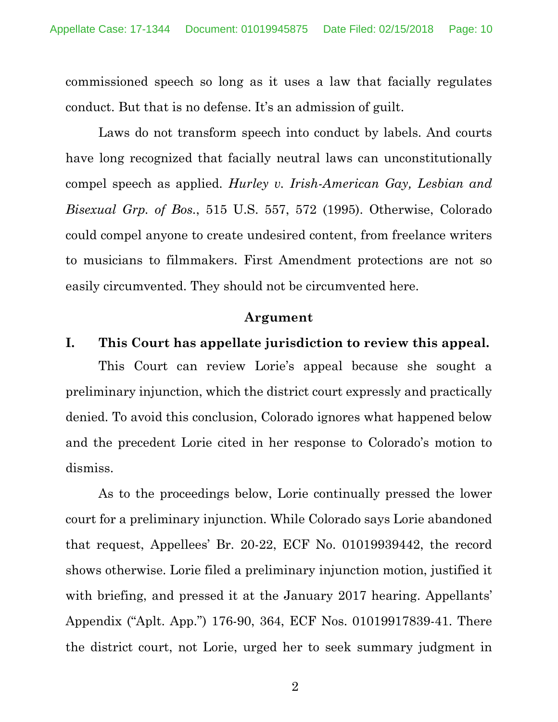commissioned speech so long as it uses a law that facially regulates conduct. But that is no defense. It's an admission of guilt.

Laws do not transform speech into conduct by labels. And courts have long recognized that facially neutral laws can unconstitutionally compel speech as applied. *Hurley v. Irish-American Gay, Lesbian and Bisexual Grp. of Bos.*, 515 U.S. 557, 572 (1995). Otherwise, Colorado could compel anyone to create undesired content, from freelance writers to musicians to filmmakers. First Amendment protections are not so easily circumvented. They should not be circumvented here.

#### **Argument**

#### **I. This Court has appellate jurisdiction to review this appeal.**

This Court can review Lorie's appeal because she sought a preliminary injunction, which the district court expressly and practically denied. To avoid this conclusion, Colorado ignores what happened below and the precedent Lorie cited in her response to Colorado's motion to dismiss.

As to the proceedings below, Lorie continually pressed the lower court for a preliminary injunction. While Colorado says Lorie abandoned that request, Appellees' Br. 20-22, ECF No. 01019939442, the record shows otherwise. Lorie filed a preliminary injunction motion, justified it with briefing, and pressed it at the January 2017 hearing. Appellants' Appendix ("Aplt. App.") 176-90, 364, ECF Nos. 01019917839-41. There the district court, not Lorie, urged her to seek summary judgment in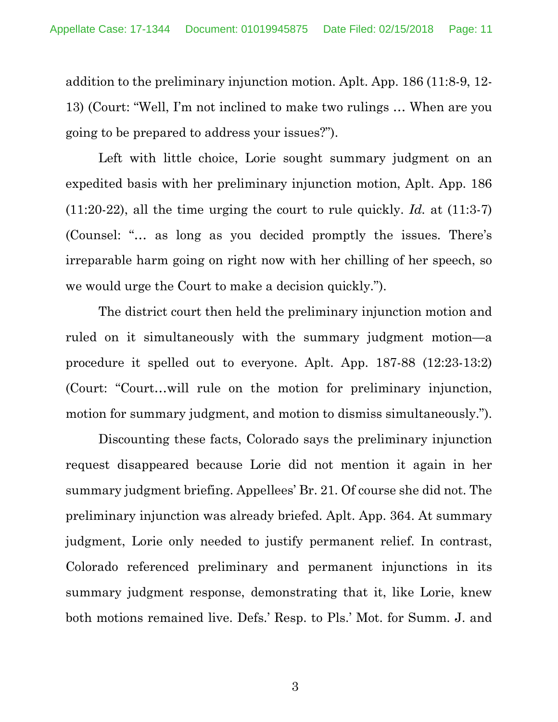addition to the preliminary injunction motion. Aplt. App. 186 (11:8-9, 12- 13) (Court: "Well, I'm not inclined to make two rulings … When are you going to be prepared to address your issues?").

Left with little choice, Lorie sought summary judgment on an expedited basis with her preliminary injunction motion, Aplt. App. 186 (11:20-22), all the time urging the court to rule quickly. *Id.* at (11:3-7) (Counsel: "… as long as you decided promptly the issues. There's irreparable harm going on right now with her chilling of her speech, so we would urge the Court to make a decision quickly.").

The district court then held the preliminary injunction motion and ruled on it simultaneously with the summary judgment motion—a procedure it spelled out to everyone. Aplt. App. 187-88 (12:23-13:2) (Court: "Court…will rule on the motion for preliminary injunction, motion for summary judgment, and motion to dismiss simultaneously.").

Discounting these facts, Colorado says the preliminary injunction request disappeared because Lorie did not mention it again in her summary judgment briefing. Appellees' Br. 21. Of course she did not. The preliminary injunction was already briefed. Aplt. App. 364. At summary judgment, Lorie only needed to justify permanent relief. In contrast, Colorado referenced preliminary and permanent injunctions in its summary judgment response, demonstrating that it, like Lorie, knew both motions remained live. Defs.' Resp. to Pls.' Mot. for Summ. J. and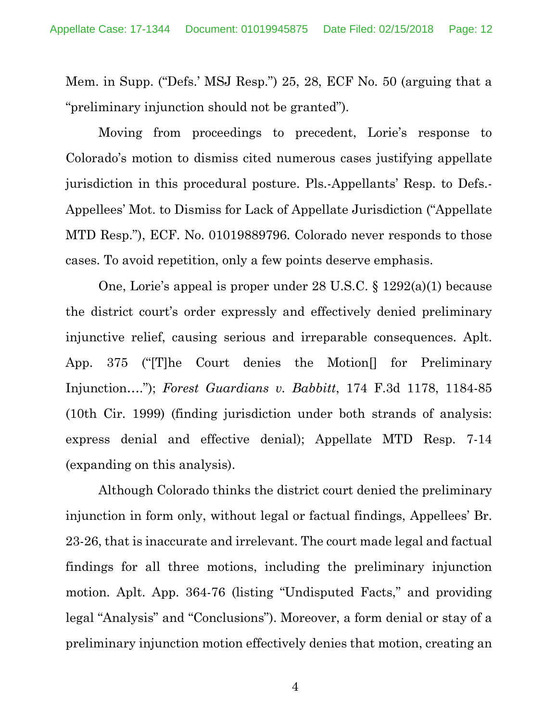Mem. in Supp. ("Defs.' MSJ Resp.") 25, 28, ECF No. 50 (arguing that a "preliminary injunction should not be granted").

Moving from proceedings to precedent, Lorie's response to Colorado's motion to dismiss cited numerous cases justifying appellate jurisdiction in this procedural posture. Pls.-Appellants' Resp. to Defs.- Appellees' Mot. to Dismiss for Lack of Appellate Jurisdiction ("Appellate MTD Resp."), ECF. No. 01019889796. Colorado never responds to those cases. To avoid repetition, only a few points deserve emphasis.

One, Lorie's appeal is proper under 28 U.S.C. § 1292(a)(1) because the district court's order expressly and effectively denied preliminary injunctive relief, causing serious and irreparable consequences. Aplt. App. 375 ("[T]he Court denies the Motion[] for Preliminary Injunction…."); *Forest Guardians v. Babbitt*, 174 F.3d 1178, 1184-85 (10th Cir. 1999) (finding jurisdiction under both strands of analysis: express denial and effective denial); Appellate MTD Resp. 7-14 (expanding on this analysis).

Although Colorado thinks the district court denied the preliminary injunction in form only, without legal or factual findings, Appellees' Br. 23-26, that is inaccurate and irrelevant. The court made legal and factual findings for all three motions, including the preliminary injunction motion. Aplt. App. 364-76 (listing "Undisputed Facts," and providing legal "Analysis" and "Conclusions"). Moreover, a form denial or stay of a preliminary injunction motion effectively denies that motion, creating an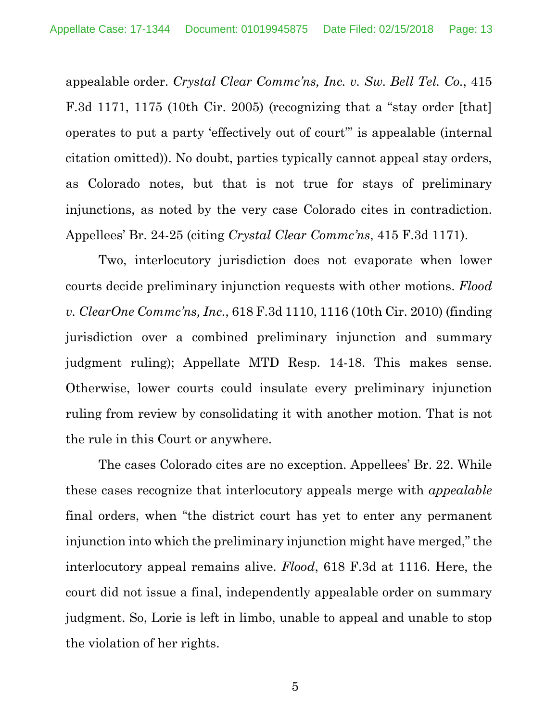appealable order. *Crystal Clear Commc'ns, Inc. v. Sw. Bell Tel. Co.*, 415 F.3d 1171, 1175 (10th Cir. 2005) (recognizing that a "stay order [that] operates to put a party 'effectively out of court'" is appealable (internal citation omitted)). No doubt, parties typically cannot appeal stay orders, as Colorado notes, but that is not true for stays of preliminary injunctions, as noted by the very case Colorado cites in contradiction. Appellees' Br. 24-25 (citing *Crystal Clear Commc'ns*, 415 F.3d 1171).

Two, interlocutory jurisdiction does not evaporate when lower courts decide preliminary injunction requests with other motions. *Flood v. ClearOne Commc'ns, Inc.*, 618 F.3d 1110, 1116 (10th Cir. 2010) (finding jurisdiction over a combined preliminary injunction and summary judgment ruling); Appellate MTD Resp. 14-18. This makes sense. Otherwise, lower courts could insulate every preliminary injunction ruling from review by consolidating it with another motion. That is not the rule in this Court or anywhere.

The cases Colorado cites are no exception. Appellees' Br. 22. While these cases recognize that interlocutory appeals merge with *appealable* final orders, when "the district court has yet to enter any permanent injunction into which the preliminary injunction might have merged," the interlocutory appeal remains alive. *Flood*, 618 F.3d at 1116. Here, the court did not issue a final, independently appealable order on summary judgment. So, Lorie is left in limbo, unable to appeal and unable to stop the violation of her rights.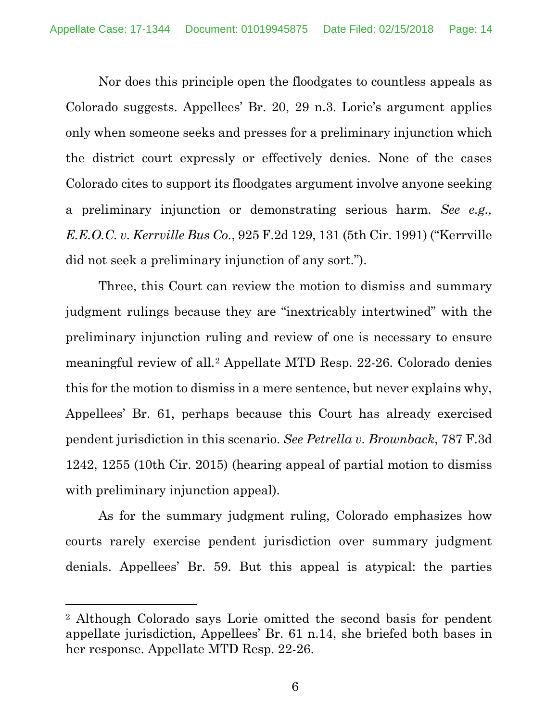Nor does this principle open the floodgates to countless appeals as Colorado suggests. Appellees' Br. 20, 29 n.3. Lorie's argument applies only when someone seeks and presses for a preliminary injunction which the district court expressly or effectively denies. None of the cases Colorado cites to support its floodgates argument involve anyone seeking a preliminary injunction or demonstrating serious harm. *See e.g., E.E.O.C. v. Kerrville Bus Co.*, 925 F.2d 129, 131 (5th Cir. 1991) ("Kerrville did not seek a preliminary injunction of any sort.").

Three, this Court can review the motion to dismiss and summary judgment rulings because they are "inextricably intertwined" with the preliminary injunction ruling and review of one is necessary to ensure meaningful review of all.2 Appellate MTD Resp. 22-26. Colorado denies this for the motion to dismiss in a mere sentence, but never explains why, Appellees' Br. 61, perhaps because this Court has already exercised pendent jurisdiction in this scenario. *See Petrella v. Brownback*, 787 F.3d 1242, 1255 (10th Cir. 2015) (hearing appeal of partial motion to dismiss with preliminary injunction appeal).

As for the summary judgment ruling, Colorado emphasizes how courts rarely exercise pendent jurisdiction over summary judgment denials. Appellees' Br. 59. But this appeal is atypical: the parties

l

<sup>2</sup> Although Colorado says Lorie omitted the second basis for pendent appellate jurisdiction, Appellees' Br. 61 n.14, she briefed both bases in her response. Appellate MTD Resp. 22-26.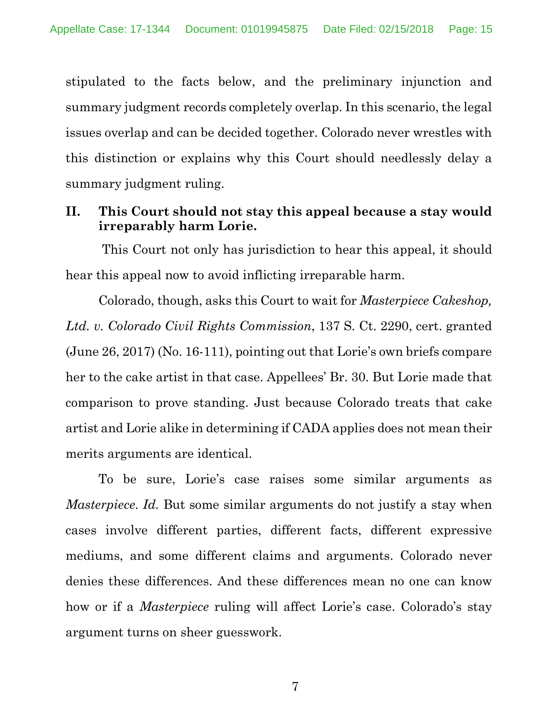stipulated to the facts below, and the preliminary injunction and summary judgment records completely overlap. In this scenario, the legal issues overlap and can be decided together. Colorado never wrestles with this distinction or explains why this Court should needlessly delay a summary judgment ruling.

## **II. This Court should not stay this appeal because a stay would irreparably harm Lorie.**

This Court not only has jurisdiction to hear this appeal, it should hear this appeal now to avoid inflicting irreparable harm.

Colorado, though, asks this Court to wait for *Masterpiece Cakeshop, Ltd. v. Colorado Civil Rights Commission*, 137 S. Ct. 2290, cert. granted (June 26, 2017) (No. 16-111), pointing out that Lorie's own briefs compare her to the cake artist in that case. Appellees' Br. 30. But Lorie made that comparison to prove standing. Just because Colorado treats that cake artist and Lorie alike in determining if CADA applies does not mean their merits arguments are identical.

To be sure, Lorie's case raises some similar arguments as *Masterpiece*. *Id.* But some similar arguments do not justify a stay when cases involve different parties, different facts, different expressive mediums, and some different claims and arguments. Colorado never denies these differences. And these differences mean no one can know how or if a *Masterpiece* ruling will affect Lorie's case. Colorado's stay argument turns on sheer guesswork.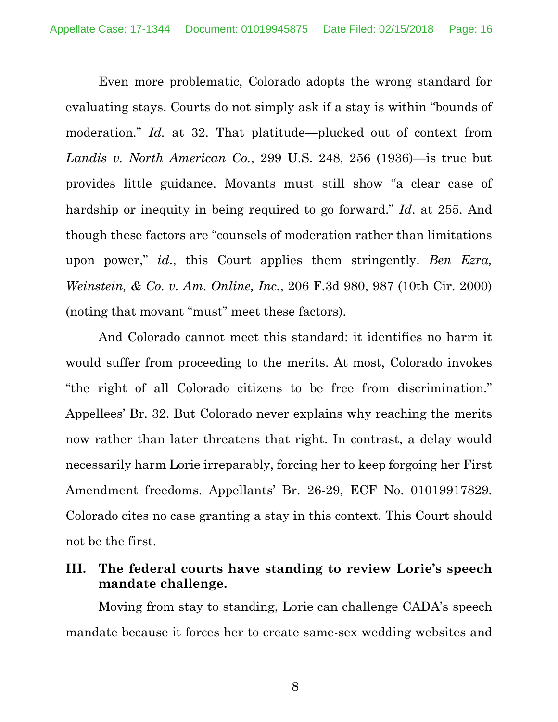Even more problematic, Colorado adopts the wrong standard for evaluating stays. Courts do not simply ask if a stay is within "bounds of moderation." *Id.* at 32. That platitude—plucked out of context from *Landis v. North American Co.*, 299 U.S. 248, 256 (1936)—is true but provides little guidance. Movants must still show "a clear case of hardship or inequity in being required to go forward." *Id*. at 255. And though these factors are "counsels of moderation rather than limitations upon power," *id*., this Court applies them stringently. *Ben Ezra, Weinstein, & Co. v. Am. Online, Inc.*, 206 F.3d 980, 987 (10th Cir. 2000) (noting that movant "must" meet these factors).

And Colorado cannot meet this standard: it identifies no harm it would suffer from proceeding to the merits. At most, Colorado invokes "the right of all Colorado citizens to be free from discrimination." Appellees' Br. 32. But Colorado never explains why reaching the merits now rather than later threatens that right. In contrast, a delay would necessarily harm Lorie irreparably, forcing her to keep forgoing her First Amendment freedoms. Appellants' Br. 26-29, ECF No. 01019917829. Colorado cites no case granting a stay in this context. This Court should not be the first.

### **III. The federal courts have standing to review Lorie's speech mandate challenge.**

Moving from stay to standing, Lorie can challenge CADA's speech mandate because it forces her to create same-sex wedding websites and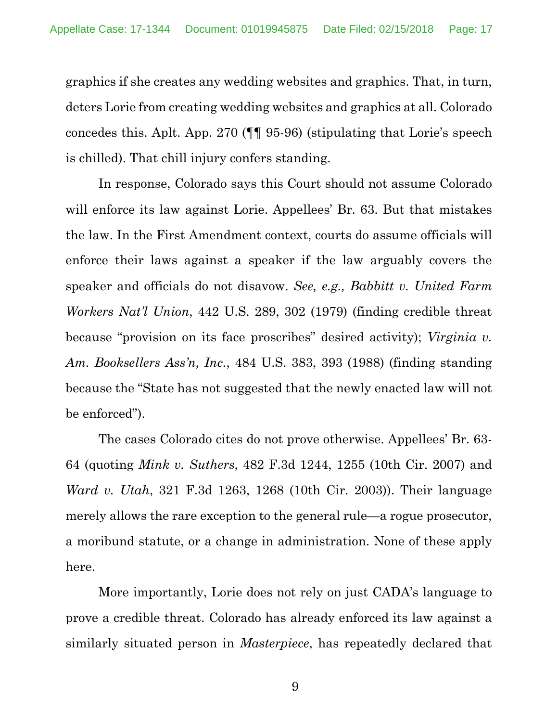graphics if she creates any wedding websites and graphics. That, in turn, deters Lorie from creating wedding websites and graphics at all. Colorado concedes this. Aplt. App. 270 (¶¶ 95-96) (stipulating that Lorie's speech is chilled). That chill injury confers standing.

In response, Colorado says this Court should not assume Colorado will enforce its law against Lorie. Appellees' Br. 63. But that mistakes the law. In the First Amendment context, courts do assume officials will enforce their laws against a speaker if the law arguably covers the speaker and officials do not disavow. *See, e.g., Babbitt v. United Farm Workers Nat'l Union*, 442 U.S. 289, 302 (1979) (finding credible threat because "provision on its face proscribes" desired activity); *Virginia v. Am. Booksellers Ass'n, Inc.*, 484 U.S. 383, 393 (1988) (finding standing because the "State has not suggested that the newly enacted law will not be enforced").

The cases Colorado cites do not prove otherwise. Appellees' Br. 63- 64 (quoting *Mink v. Suthers*, 482 F.3d 1244, 1255 (10th Cir. 2007) and *Ward v. Utah*, 321 F.3d 1263, 1268 (10th Cir. 2003)). Their language merely allows the rare exception to the general rule—a rogue prosecutor, a moribund statute, or a change in administration. None of these apply here.

More importantly, Lorie does not rely on just CADA's language to prove a credible threat. Colorado has already enforced its law against a similarly situated person in *Masterpiece*, has repeatedly declared that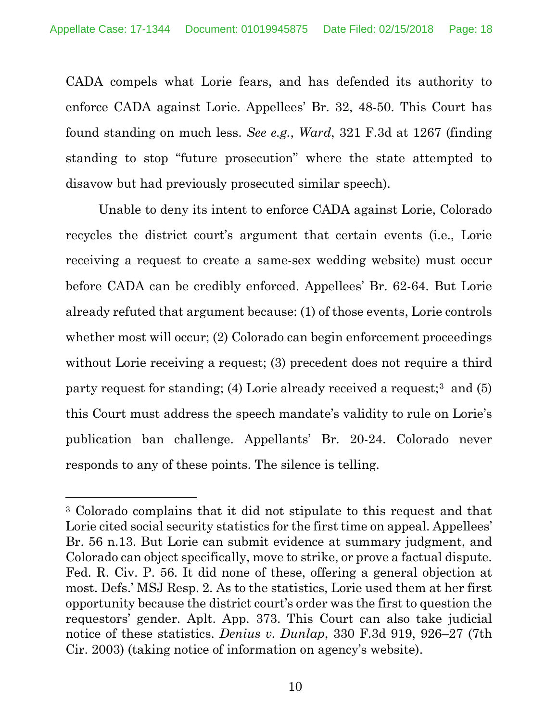CADA compels what Lorie fears, and has defended its authority to enforce CADA against Lorie. Appellees' Br. 32, 48-50. This Court has found standing on much less. *See e.g.*, *Ward*, 321 F.3d at 1267 (finding standing to stop "future prosecution" where the state attempted to disavow but had previously prosecuted similar speech).

Unable to deny its intent to enforce CADA against Lorie, Colorado recycles the district court's argument that certain events (i.e., Lorie receiving a request to create a same-sex wedding website) must occur before CADA can be credibly enforced. Appellees' Br. 62-64. But Lorie already refuted that argument because: (1) of those events, Lorie controls whether most will occur; (2) Colorado can begin enforcement proceedings without Lorie receiving a request; (3) precedent does not require a third party request for standing; (4) Lorie already received a request;<sup>3</sup> and (5) this Court must address the speech mandate's validity to rule on Lorie's publication ban challenge. Appellants' Br. 20-24. Colorado never responds to any of these points. The silence is telling.

 $\overline{a}$ 

<sup>3</sup> Colorado complains that it did not stipulate to this request and that Lorie cited social security statistics for the first time on appeal. Appellees' Br. 56 n.13. But Lorie can submit evidence at summary judgment, and Colorado can object specifically, move to strike, or prove a factual dispute. Fed. R. Civ. P. 56. It did none of these, offering a general objection at most. Defs.' MSJ Resp. 2. As to the statistics, Lorie used them at her first opportunity because the district court's order was the first to question the requestors' gender. Aplt. App. 373. This Court can also take judicial notice of these statistics. *Denius v. Dunlap*, 330 F.3d 919, 926–27 (7th Cir. 2003) (taking notice of information on agency's website).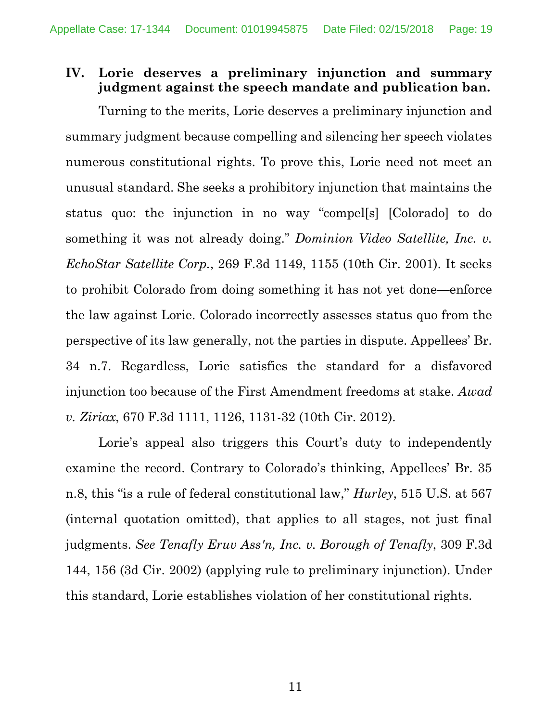# **IV. Lorie deserves a preliminary injunction and summary judgment against the speech mandate and publication ban.**

Turning to the merits, Lorie deserves a preliminary injunction and summary judgment because compelling and silencing her speech violates numerous constitutional rights. To prove this, Lorie need not meet an unusual standard. She seeks a prohibitory injunction that maintains the status quo: the injunction in no way "compel[s] [Colorado] to do something it was not already doing." *Dominion Video Satellite, Inc. v. EchoStar Satellite Corp.*, 269 F.3d 1149, 1155 (10th Cir. 2001). It seeks to prohibit Colorado from doing something it has not yet done—enforce the law against Lorie. Colorado incorrectly assesses status quo from the perspective of its law generally, not the parties in dispute. Appellees' Br. 34 n.7. Regardless, Lorie satisfies the standard for a disfavored injunction too because of the First Amendment freedoms at stake. *Awad v. Ziriax*, 670 F.3d 1111, 1126, 1131-32 (10th Cir. 2012).

Lorie's appeal also triggers this Court's duty to independently examine the record. Contrary to Colorado's thinking, Appellees' Br. 35 n.8, this "is a rule of federal constitutional law," *Hurley*, 515 U.S. at 567 (internal quotation omitted), that applies to all stages, not just final judgments. *See Tenafly Eruv Ass'n, Inc. v. Borough of Tenafly*, 309 F.3d 144, 156 (3d Cir. 2002) (applying rule to preliminary injunction). Under this standard, Lorie establishes violation of her constitutional rights.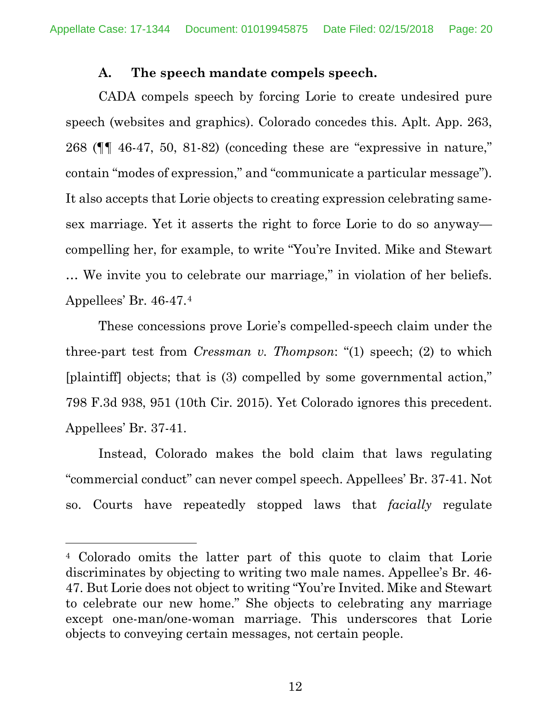#### **A. The speech mandate compels speech.**

CADA compels speech by forcing Lorie to create undesired pure speech (websites and graphics). Colorado concedes this. Aplt. App. 263, 268 (¶¶ 46-47, 50, 81-82) (conceding these are "expressive in nature," contain "modes of expression," and "communicate a particular message"). It also accepts that Lorie objects to creating expression celebrating samesex marriage. Yet it asserts the right to force Lorie to do so anyway compelling her, for example, to write "You're Invited. Mike and Stewart … We invite you to celebrate our marriage," in violation of her beliefs. Appellees' Br. 46-47.4

These concessions prove Lorie's compelled-speech claim under the three-part test from *Cressman v. Thompson*: "(1) speech; (2) to which [plaintiff] objects; that is (3) compelled by some governmental action," 798 F.3d 938, 951 (10th Cir. 2015). Yet Colorado ignores this precedent. Appellees' Br. 37-41.

Instead, Colorado makes the bold claim that laws regulating "commercial conduct" can never compel speech. Appellees' Br. 37-41. Not so. Courts have repeatedly stopped laws that *facially* regulate

 $\overline{a}$ 

<sup>4</sup> Colorado omits the latter part of this quote to claim that Lorie discriminates by objecting to writing two male names. Appellee's Br. 46- 47. But Lorie does not object to writing "You're Invited. Mike and Stewart to celebrate our new home." She objects to celebrating any marriage except one-man/one-woman marriage. This underscores that Lorie objects to conveying certain messages, not certain people.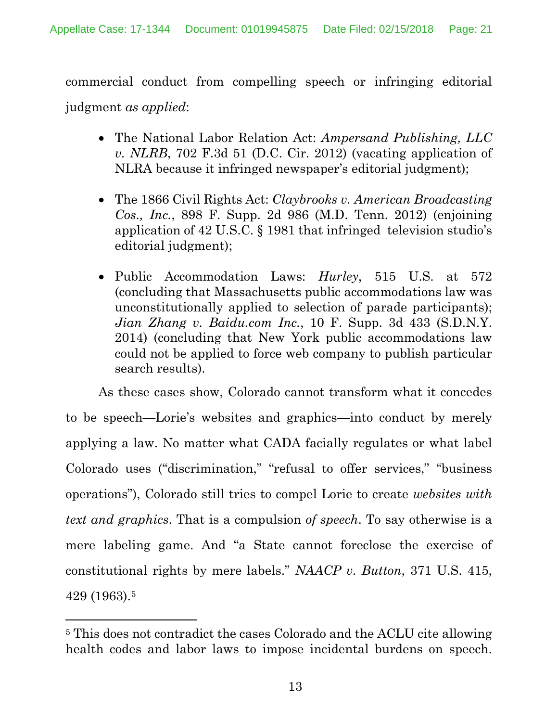commercial conduct from compelling speech or infringing editorial judgment *as applied*:

- The National Labor Relation Act: *Ampersand Publishing, LLC v. NLRB*, 702 F.3d 51 (D.C. Cir. 2012) (vacating application of NLRA because it infringed newspaper's editorial judgment);
- The 1866 Civil Rights Act: *Claybrooks v. American Broadcasting Cos., Inc.*, 898 F. Supp. 2d 986 (M.D. Tenn. 2012) (enjoining application of 42 U.S.C. § 1981 that infringed television studio's editorial judgment);
- Public Accommodation Laws: *Hurley*, 515 U.S. at 572 (concluding that Massachusetts public accommodations law was unconstitutionally applied to selection of parade participants); *Jian Zhang v. Baidu.com Inc.*, 10 F. Supp. 3d 433 (S.D.N.Y. 2014) (concluding that New York public accommodations law could not be applied to force web company to publish particular search results).

As these cases show, Colorado cannot transform what it concedes to be speech—Lorie's websites and graphics—into conduct by merely applying a law. No matter what CADA facially regulates or what label Colorado uses ("discrimination," "refusal to offer services," "business operations"), Colorado still tries to compel Lorie to create *websites with text and graphics*. That is a compulsion *of speech*. To say otherwise is a mere labeling game. And "a State cannot foreclose the exercise of constitutional rights by mere labels." *NAACP v. Button*, 371 U.S. 415, 429 (1963).5

 $\overline{a}$ 

<sup>5</sup> This does not contradict the cases Colorado and the ACLU cite allowing health codes and labor laws to impose incidental burdens on speech.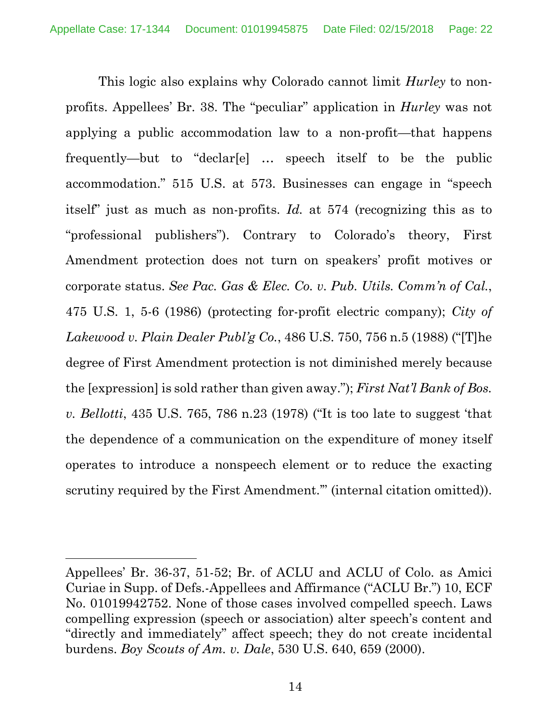This logic also explains why Colorado cannot limit *Hurley* to nonprofits. Appellees' Br. 38. The "peculiar" application in *Hurley* was not applying a public accommodation law to a non-profit—that happens frequently—but to "declar[e] … speech itself to be the public accommodation." 515 U.S. at 573. Businesses can engage in "speech itself" just as much as non-profits. *Id.* at 574 (recognizing this as to "professional publishers"). Contrary to Colorado's theory, First Amendment protection does not turn on speakers' profit motives or corporate status. *See Pac. Gas & Elec. Co. v. Pub. Utils. Comm'n of Cal.*, 475 U.S. 1, 5-6 (1986) (protecting for-profit electric company); *City of Lakewood v. Plain Dealer Publ'g Co.*, 486 U.S. 750, 756 n.5 (1988) ("[T]he degree of First Amendment protection is not diminished merely because the [expression] is sold rather than given away."); *First Nat'l Bank of Bos. v. Bellotti*, 435 U.S. 765, 786 n.23 (1978) ("It is too late to suggest 'that the dependence of a communication on the expenditure of money itself operates to introduce a nonspeech element or to reduce the exacting scrutiny required by the First Amendment." (internal citation omitted)).

 $\overline{a}$ 

Appellees' Br. 36-37, 51-52; Br. of ACLU and ACLU of Colo. as Amici Curiae in Supp. of Defs.-Appellees and Affirmance ("ACLU Br.") 10, ECF No. 01019942752. None of those cases involved compelled speech. Laws compelling expression (speech or association) alter speech's content and "directly and immediately" affect speech; they do not create incidental burdens. *Boy Scouts of Am. v. Dale*, 530 U.S. 640, 659 (2000).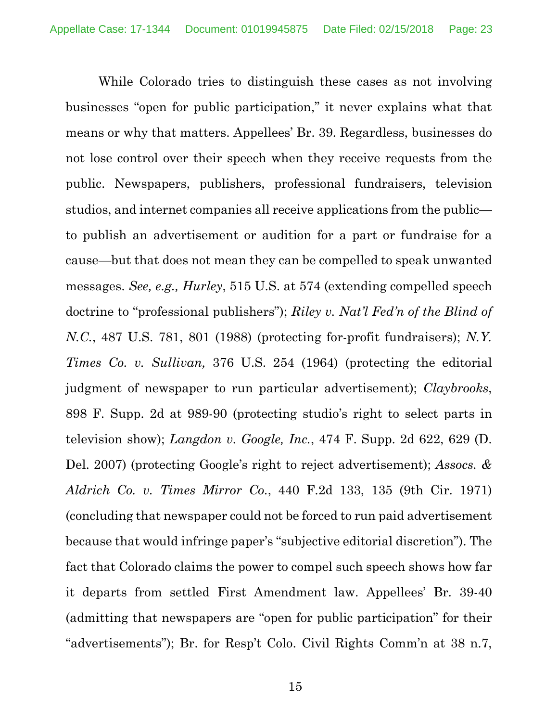While Colorado tries to distinguish these cases as not involving businesses "open for public participation," it never explains what that means or why that matters. Appellees' Br. 39. Regardless, businesses do not lose control over their speech when they receive requests from the public. Newspapers, publishers, professional fundraisers, television studios, and internet companies all receive applications from the public to publish an advertisement or audition for a part or fundraise for a cause—but that does not mean they can be compelled to speak unwanted messages. *See, e.g., Hurley*, 515 U.S. at 574 (extending compelled speech doctrine to "professional publishers"); *Riley v. Nat'l Fed'n of the Blind of N.C.*, 487 U.S. 781, 801 (1988) (protecting for-profit fundraisers); *N.Y. Times Co. v. Sullivan,* 376 U.S. 254 (1964) (protecting the editorial judgment of newspaper to run particular advertisement); *Claybrooks*, 898 F. Supp. 2d at 989-90 (protecting studio's right to select parts in television show); *Langdon v. Google, Inc.*, 474 F. Supp. 2d 622, 629 (D. Del. 2007) (protecting Google's right to reject advertisement); *Assocs. & Aldrich Co. v. Times Mirror Co.*, 440 F.2d 133, 135 (9th Cir. 1971) (concluding that newspaper could not be forced to run paid advertisement because that would infringe paper's "subjective editorial discretion"). The fact that Colorado claims the power to compel such speech shows how far it departs from settled First Amendment law. Appellees' Br. 39-40 (admitting that newspapers are "open for public participation" for their "advertisements"); Br. for Resp't Colo. Civil Rights Comm'n at 38 n.7,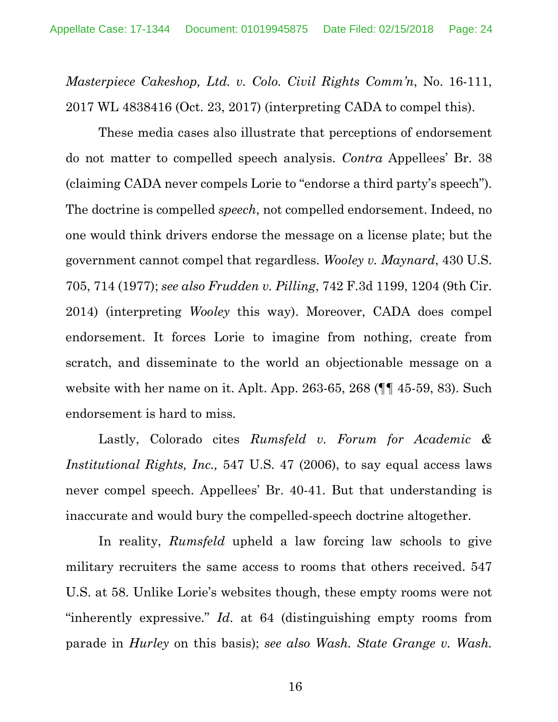*Masterpiece Cakeshop, Ltd. v. Colo. Civil Rights Comm'n*, No. 16-111, 2017 WL 4838416 (Oct. 23, 2017) (interpreting CADA to compel this).

These media cases also illustrate that perceptions of endorsement do not matter to compelled speech analysis. *Contra* Appellees' Br. 38 (claiming CADA never compels Lorie to "endorse a third party's speech"). The doctrine is compelled *speech*, not compelled endorsement. Indeed, no one would think drivers endorse the message on a license plate; but the government cannot compel that regardless. *Wooley v. Maynard*, 430 U.S. 705, 714 (1977); *see also Frudden v. Pilling*, 742 F.3d 1199, 1204 (9th Cir. 2014) (interpreting *Wooley* this way). Moreover, CADA does compel endorsement. It forces Lorie to imagine from nothing, create from scratch, and disseminate to the world an objectionable message on a website with her name on it. Aplt. App. 263-65, 268 (¶¶ 45-59, 83). Such endorsement is hard to miss.

Lastly, Colorado cites *Rumsfeld v. Forum for Academic & Institutional Rights, Inc.,* 547 U.S. 47 (2006), to say equal access laws never compel speech. Appellees' Br. 40-41. But that understanding is inaccurate and would bury the compelled-speech doctrine altogether.

In reality, *Rumsfeld* upheld a law forcing law schools to give military recruiters the same access to rooms that others received. 547 U.S. at 58. Unlike Lorie's websites though, these empty rooms were not "inherently expressive." *Id*. at 64 (distinguishing empty rooms from parade in *Hurley* on this basis); *see also Wash. State Grange v. Wash.*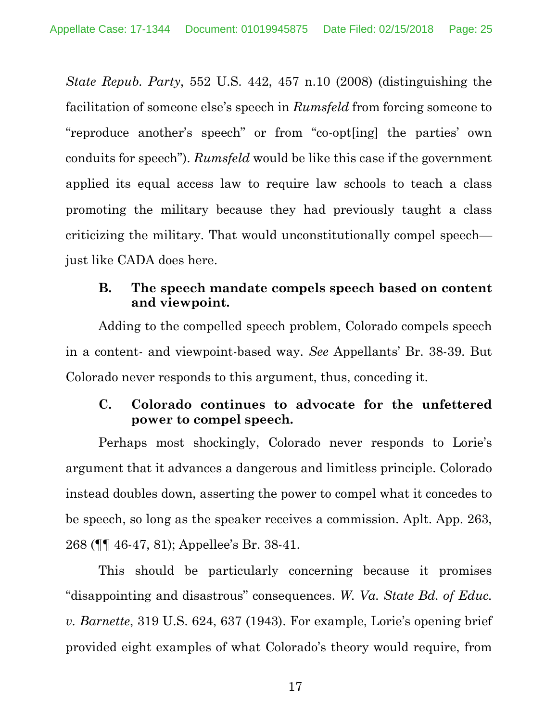*State Repub. Party*, 552 U.S. 442, 457 n.10 (2008) (distinguishing the facilitation of someone else's speech in *Rumsfeld* from forcing someone to "reproduce another's speech" or from "co-opt[ing] the parties' own conduits for speech"). *Rumsfeld* would be like this case if the government applied its equal access law to require law schools to teach a class promoting the military because they had previously taught a class criticizing the military. That would unconstitutionally compel speech just like CADA does here.

## **B. The speech mandate compels speech based on content and viewpoint.**

Adding to the compelled speech problem, Colorado compels speech in a content- and viewpoint-based way. *See* Appellants' Br. 38-39. But Colorado never responds to this argument, thus, conceding it.

## **C. Colorado continues to advocate for the unfettered power to compel speech.**

Perhaps most shockingly, Colorado never responds to Lorie's argument that it advances a dangerous and limitless principle. Colorado instead doubles down, asserting the power to compel what it concedes to be speech, so long as the speaker receives a commission. Aplt. App. 263, 268 (¶¶ 46-47, 81); Appellee's Br. 38-41.

This should be particularly concerning because it promises "disappointing and disastrous" consequences. *W. Va. State Bd. of Educ. v. Barnette*, 319 U.S. 624, 637 (1943). For example, Lorie's opening brief provided eight examples of what Colorado's theory would require, from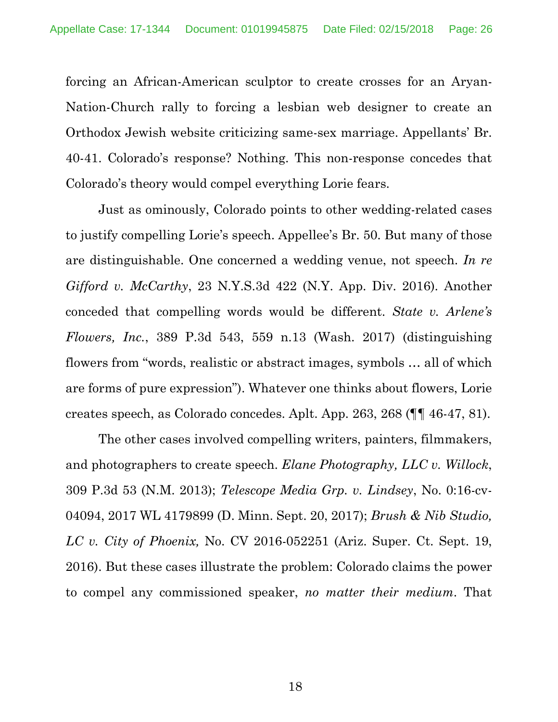forcing an African-American sculptor to create crosses for an Aryan-Nation-Church rally to forcing a lesbian web designer to create an Orthodox Jewish website criticizing same-sex marriage. Appellants' Br. 40-41. Colorado's response? Nothing. This non-response concedes that Colorado's theory would compel everything Lorie fears.

Just as ominously, Colorado points to other wedding-related cases to justify compelling Lorie's speech. Appellee's Br. 50. But many of those are distinguishable. One concerned a wedding venue, not speech. *In re Gifford v. McCarthy*, 23 N.Y.S.3d 422 (N.Y. App. Div. 2016). Another conceded that compelling words would be different. *State v. Arlene's Flowers, Inc.*, 389 P.3d 543, 559 n.13 (Wash. 2017) (distinguishing flowers from "words, realistic or abstract images, symbols … all of which are forms of pure expression"). Whatever one thinks about flowers, Lorie creates speech, as Colorado concedes. Aplt. App. 263, 268 (¶¶ 46-47, 81).

The other cases involved compelling writers, painters, filmmakers, and photographers to create speech. *Elane Photography, LLC v. Willock*, 309 P.3d 53 (N.M. 2013); *Telescope Media Grp. v. Lindsey*, No. 0:16-cv-04094, 2017 WL 4179899 (D. Minn. Sept. 20, 2017); *Brush & Nib Studio, LC v. City of Phoenix,* No. CV 2016-052251 (Ariz. Super. Ct. Sept. 19, 2016). But these cases illustrate the problem: Colorado claims the power to compel any commissioned speaker, *no matter their medium*. That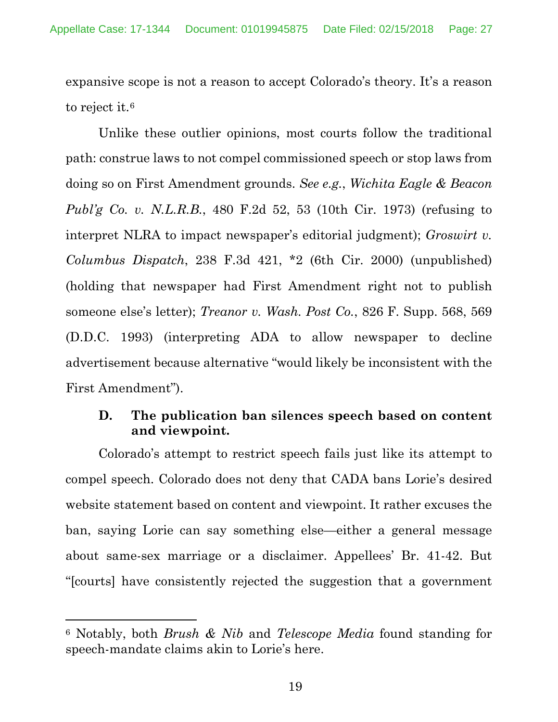expansive scope is not a reason to accept Colorado's theory. It's a reason to reject it.<sup>6</sup>

Unlike these outlier opinions, most courts follow the traditional path: construe laws to not compel commissioned speech or stop laws from doing so on First Amendment grounds. *See e.g.*, *Wichita Eagle & Beacon Publ'g Co. v. N.L.R.B.*, 480 F.2d 52, 53 (10th Cir. 1973) (refusing to interpret NLRA to impact newspaper's editorial judgment); *Groswirt v. Columbus Dispatch*, 238 F.3d 421, \*2 (6th Cir. 2000) (unpublished) (holding that newspaper had First Amendment right not to publish someone else's letter); *Treanor v. Wash. Post Co.*, 826 F. Supp. 568, 569 (D.D.C. 1993) (interpreting ADA to allow newspaper to decline advertisement because alternative "would likely be inconsistent with the First Amendment").

### **D. The publication ban silences speech based on content and viewpoint.**

Colorado's attempt to restrict speech fails just like its attempt to compel speech. Colorado does not deny that CADA bans Lorie's desired website statement based on content and viewpoint. It rather excuses the ban, saying Lorie can say something else—either a general message about same-sex marriage or a disclaimer. Appellees' Br. 41-42. But "[courts] have consistently rejected the suggestion that a government

 $\overline{a}$ 

<sup>6</sup> Notably, both *Brush & Nib* and *Telescope Media* found standing for speech-mandate claims akin to Lorie's here.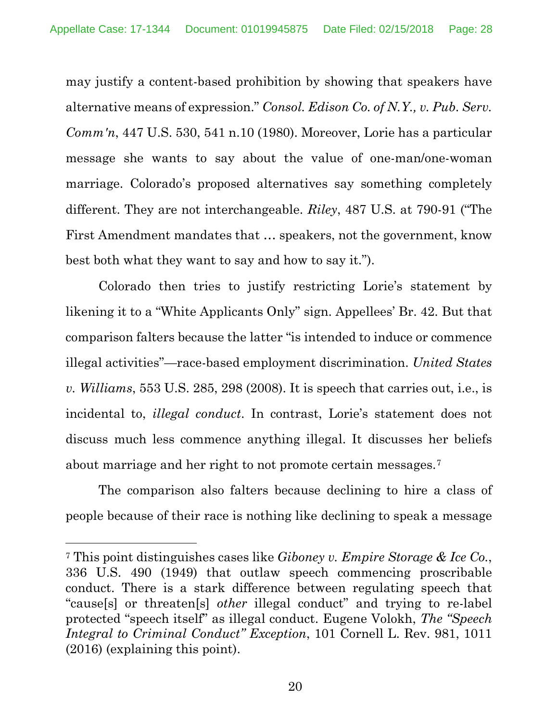may justify a content-based prohibition by showing that speakers have alternative means of expression." *Consol. Edison Co. of N.Y., v. Pub. Serv. Comm'n*, 447 U.S. 530, 541 n.10 (1980). Moreover, Lorie has a particular message she wants to say about the value of one-man/one-woman marriage. Colorado's proposed alternatives say something completely different. They are not interchangeable. *Riley*, 487 U.S. at 790-91 ("The First Amendment mandates that … speakers, not the government, know best both what they want to say and how to say it.").

Colorado then tries to justify restricting Lorie's statement by likening it to a "White Applicants Only" sign. Appellees' Br. 42. But that comparison falters because the latter "is intended to induce or commence illegal activities"—race-based employment discrimination. *United States v. Williams*, 553 U.S. 285, 298 (2008). It is speech that carries out, i.e., is incidental to, *illegal conduct*. In contrast, Lorie's statement does not discuss much less commence anything illegal. It discusses her beliefs about marriage and her right to not promote certain messages.7

The comparison also falters because declining to hire a class of people because of their race is nothing like declining to speak a message

 $\overline{a}$ 

<sup>7</sup> This point distinguishes cases like *Giboney v. Empire Storage & Ice Co.*, 336 U.S. 490 (1949) that outlaw speech commencing proscribable conduct. There is a stark difference between regulating speech that "cause[s] or threaten[s] *other* illegal conduct" and trying to re-label protected "speech itself" as illegal conduct. Eugene Volokh, *The "Speech Integral to Criminal Conduct" Exception*, 101 Cornell L. Rev. 981, 1011 (2016) (explaining this point).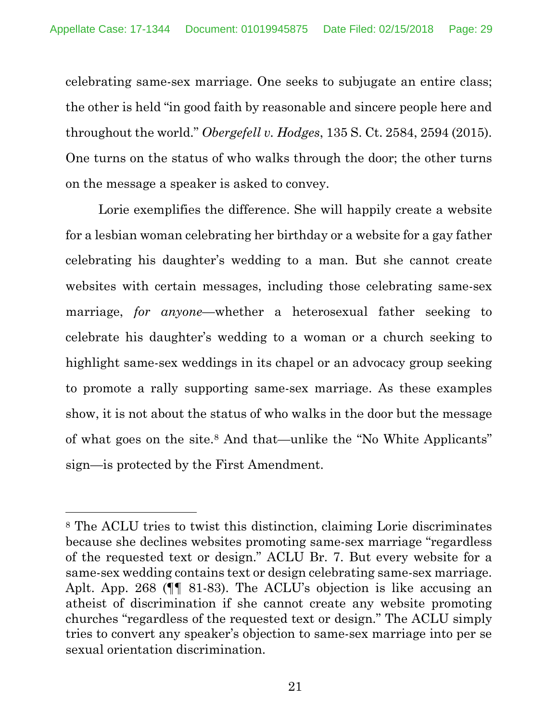celebrating same-sex marriage. One seeks to subjugate an entire class; the other is held "in good faith by reasonable and sincere people here and throughout the world." *Obergefell v. Hodges*, 135 S. Ct. 2584, 2594 (2015). One turns on the status of who walks through the door; the other turns on the message a speaker is asked to convey.

Lorie exemplifies the difference. She will happily create a website for a lesbian woman celebrating her birthday or a website for a gay father celebrating his daughter's wedding to a man. But she cannot create websites with certain messages, including those celebrating same-sex marriage, *for anyone*—whether a heterosexual father seeking to celebrate his daughter's wedding to a woman or a church seeking to highlight same-sex weddings in its chapel or an advocacy group seeking to promote a rally supporting same-sex marriage. As these examples show, it is not about the status of who walks in the door but the message of what goes on the site.8 And that—unlike the "No White Applicants" sign—is protected by the First Amendment.

 $\overline{a}$ 

<sup>8</sup> The ACLU tries to twist this distinction, claiming Lorie discriminates because she declines websites promoting same-sex marriage "regardless of the requested text or design." ACLU Br. 7. But every website for a same-sex wedding contains text or design celebrating same-sex marriage. Aplt. App. 268 (¶¶ 81-83). The ACLU's objection is like accusing an atheist of discrimination if she cannot create any website promoting churches "regardless of the requested text or design." The ACLU simply tries to convert any speaker's objection to same-sex marriage into per se sexual orientation discrimination.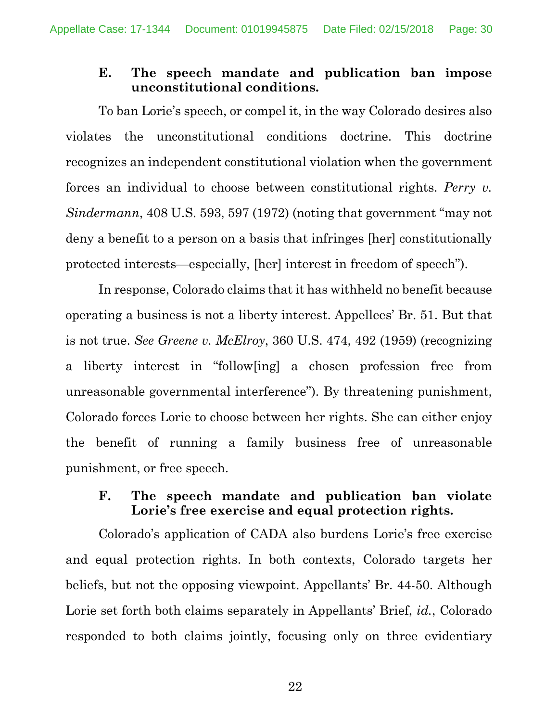### **E. The speech mandate and publication ban impose unconstitutional conditions.**

To ban Lorie's speech, or compel it, in the way Colorado desires also violates the unconstitutional conditions doctrine. This doctrine recognizes an independent constitutional violation when the government forces an individual to choose between constitutional rights. *Perry v. Sindermann*, 408 U.S. 593, 597 (1972) (noting that government "may not deny a benefit to a person on a basis that infringes [her] constitutionally protected interests—especially, [her] interest in freedom of speech").

In response, Colorado claims that it has withheld no benefit because operating a business is not a liberty interest. Appellees' Br. 51. But that is not true. *See Greene v. McElroy*, 360 U.S. 474, 492 (1959) (recognizing a liberty interest in "follow[ing] a chosen profession free from unreasonable governmental interference"). By threatening punishment, Colorado forces Lorie to choose between her rights. She can either enjoy the benefit of running a family business free of unreasonable punishment, or free speech.

### **F. The speech mandate and publication ban violate Lorie's free exercise and equal protection rights.**

Colorado's application of CADA also burdens Lorie's free exercise and equal protection rights. In both contexts, Colorado targets her beliefs, but not the opposing viewpoint. Appellants' Br. 44-50. Although Lorie set forth both claims separately in Appellants' Brief, *id.*, Colorado responded to both claims jointly, focusing only on three evidentiary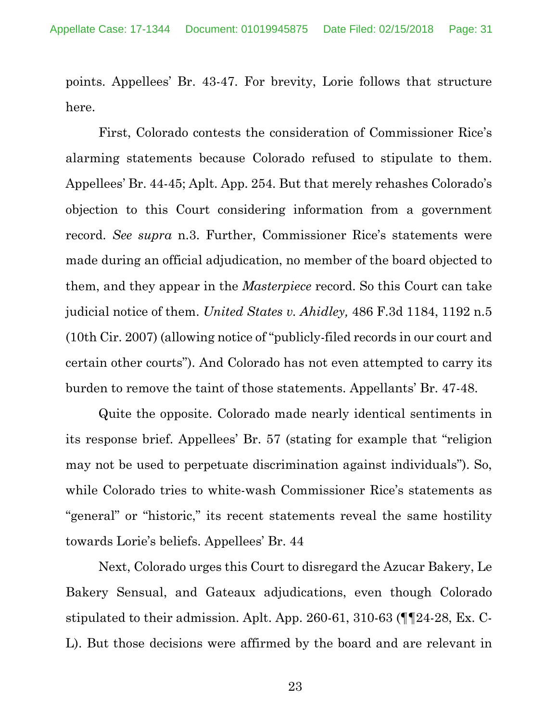points. Appellees' Br. 43-47. For brevity, Lorie follows that structure here.

First, Colorado contests the consideration of Commissioner Rice's alarming statements because Colorado refused to stipulate to them. Appellees' Br. 44-45; Aplt. App. 254. But that merely rehashes Colorado's objection to this Court considering information from a government record. *See supra* n.3. Further, Commissioner Rice's statements were made during an official adjudication, no member of the board objected to them, and they appear in the *Masterpiece* record. So this Court can take judicial notice of them. *United States v. Ahidley,* 486 F.3d 1184, 1192 n.5 (10th Cir. 2007) (allowing notice of "publicly-filed records in our court and certain other courts"). And Colorado has not even attempted to carry its burden to remove the taint of those statements. Appellants' Br. 47-48.

Quite the opposite. Colorado made nearly identical sentiments in its response brief. Appellees' Br. 57 (stating for example that "religion may not be used to perpetuate discrimination against individuals"). So, while Colorado tries to white-wash Commissioner Rice's statements as "general" or "historic," its recent statements reveal the same hostility towards Lorie's beliefs. Appellees' Br. 44

Next, Colorado urges this Court to disregard the Azucar Bakery, Le Bakery Sensual, and Gateaux adjudications, even though Colorado stipulated to their admission. Aplt. App. 260-61, 310-63 (¶¶24-28, Ex. C-L). But those decisions were affirmed by the board and are relevant in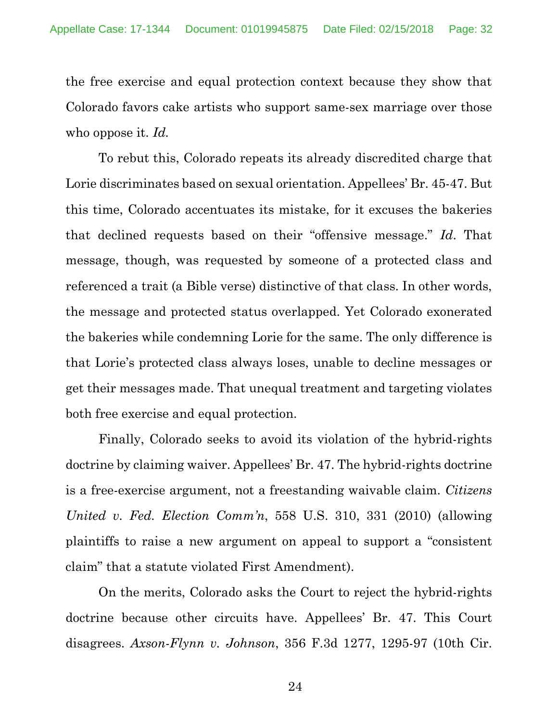the free exercise and equal protection context because they show that Colorado favors cake artists who support same-sex marriage over those who oppose it. *Id.*

To rebut this, Colorado repeats its already discredited charge that Lorie discriminates based on sexual orientation. Appellees' Br. 45-47. But this time, Colorado accentuates its mistake, for it excuses the bakeries that declined requests based on their "offensive message." *Id*. That message, though, was requested by someone of a protected class and referenced a trait (a Bible verse) distinctive of that class. In other words, the message and protected status overlapped. Yet Colorado exonerated the bakeries while condemning Lorie for the same. The only difference is that Lorie's protected class always loses, unable to decline messages or get their messages made. That unequal treatment and targeting violates both free exercise and equal protection.

Finally, Colorado seeks to avoid its violation of the hybrid-rights doctrine by claiming waiver. Appellees' Br. 47. The hybrid-rights doctrine is a free-exercise argument, not a freestanding waivable claim. *Citizens United v. Fed. Election Comm'n*, 558 U.S. 310, 331 (2010) (allowing plaintiffs to raise a new argument on appeal to support a "consistent claim" that a statute violated First Amendment).

On the merits, Colorado asks the Court to reject the hybrid-rights doctrine because other circuits have. Appellees' Br. 47. This Court disagrees. *Axson-Flynn v. Johnson*, 356 F.3d 1277, 1295-97 (10th Cir.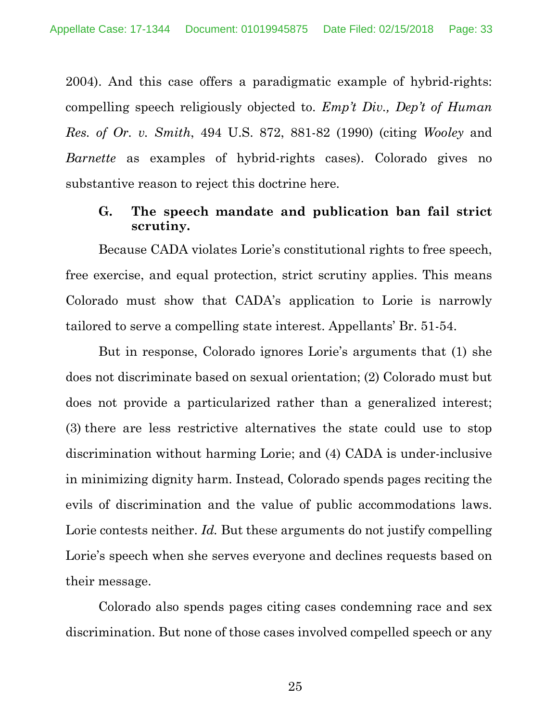2004). And this case offers a paradigmatic example of hybrid-rights: compelling speech religiously objected to. *Emp't Div., Dep't of Human Res. of Or. v. Smith*, 494 U.S. 872, 881-82 (1990) (citing *Wooley* and *Barnette* as examples of hybrid-rights cases). Colorado gives no substantive reason to reject this doctrine here.

#### **G. The speech mandate and publication ban fail strict scrutiny.**

Because CADA violates Lorie's constitutional rights to free speech, free exercise, and equal protection, strict scrutiny applies. This means Colorado must show that CADA's application to Lorie is narrowly tailored to serve a compelling state interest. Appellants' Br. 51-54.

But in response, Colorado ignores Lorie's arguments that (1) she does not discriminate based on sexual orientation; (2) Colorado must but does not provide a particularized rather than a generalized interest; (3) there are less restrictive alternatives the state could use to stop discrimination without harming Lorie; and (4) CADA is under-inclusive in minimizing dignity harm. Instead, Colorado spends pages reciting the evils of discrimination and the value of public accommodations laws. Lorie contests neither. *Id*. But these arguments do not justify compelling Lorie's speech when she serves everyone and declines requests based on their message.

Colorado also spends pages citing cases condemning race and sex discrimination. But none of those cases involved compelled speech or any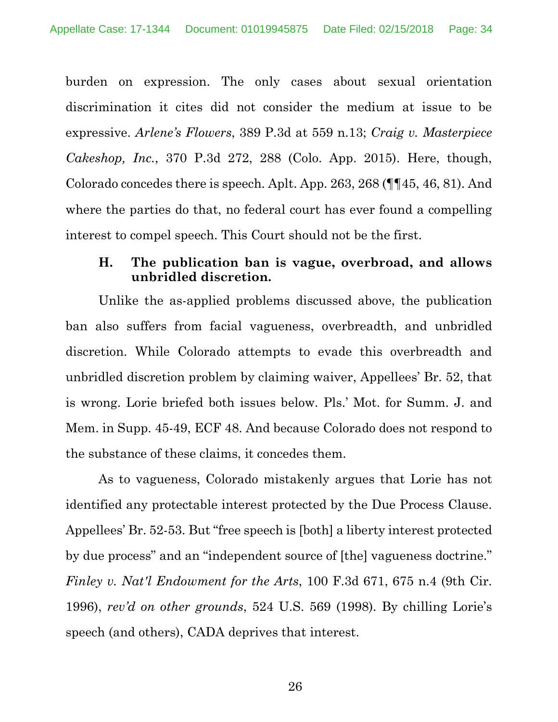burden on expression. The only cases about sexual orientation discrimination it cites did not consider the medium at issue to be expressive. *Arlene's Flowers*, 389 P.3d at 559 n.13; *Craig v. Masterpiece Cakeshop, Inc.*, 370 P.3d 272, 288 (Colo. App. 2015). Here, though, Colorado concedes there is speech. Aplt. App. 263, 268 (¶¶45, 46, 81). And where the parties do that, no federal court has ever found a compelling interest to compel speech. This Court should not be the first.

## **H. The publication ban is vague, overbroad, and allows unbridled discretion.**

Unlike the as-applied problems discussed above, the publication ban also suffers from facial vagueness, overbreadth, and unbridled discretion. While Colorado attempts to evade this overbreadth and unbridled discretion problem by claiming waiver, Appellees' Br. 52, that is wrong. Lorie briefed both issues below. Pls.' Mot. for Summ. J. and Mem. in Supp. 45-49, ECF 48. And because Colorado does not respond to the substance of these claims, it concedes them.

As to vagueness, Colorado mistakenly argues that Lorie has not identified any protectable interest protected by the Due Process Clause. Appellees' Br. 52-53. But "free speech is [both] a liberty interest protected by due process" and an "independent source of [the] vagueness doctrine." *Finley v. Nat'l Endowment for the Arts*, 100 F.3d 671, 675 n.4 (9th Cir. 1996), *rev'd on other grounds*, 524 U.S. 569 (1998). By chilling Lorie's speech (and others), CADA deprives that interest.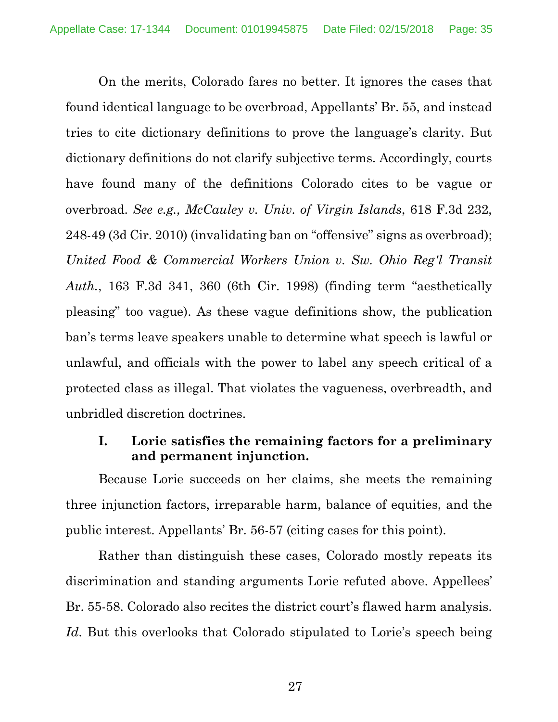On the merits, Colorado fares no better. It ignores the cases that found identical language to be overbroad, Appellants' Br. 55, and instead tries to cite dictionary definitions to prove the language's clarity. But dictionary definitions do not clarify subjective terms. Accordingly, courts have found many of the definitions Colorado cites to be vague or overbroad. *See e.g., McCauley v. Univ. of Virgin Islands*, 618 F.3d 232, 248-49 (3d Cir. 2010) (invalidating ban on "offensive" signs as overbroad); *United Food & Commercial Workers Union v. Sw. Ohio Reg'l Transit Auth.*, 163 F.3d 341, 360 (6th Cir. 1998) (finding term "aesthetically pleasing" too vague). As these vague definitions show, the publication ban's terms leave speakers unable to determine what speech is lawful or unlawful, and officials with the power to label any speech critical of a protected class as illegal. That violates the vagueness, overbreadth, and unbridled discretion doctrines.

### **I. Lorie satisfies the remaining factors for a preliminary and permanent injunction.**

Because Lorie succeeds on her claims, she meets the remaining three injunction factors, irreparable harm, balance of equities, and the public interest. Appellants' Br. 56-57 (citing cases for this point).

Rather than distinguish these cases, Colorado mostly repeats its discrimination and standing arguments Lorie refuted above. Appellees' Br. 55-58. Colorado also recites the district court's flawed harm analysis. Id. But this overlooks that Colorado stipulated to Lorie's speech being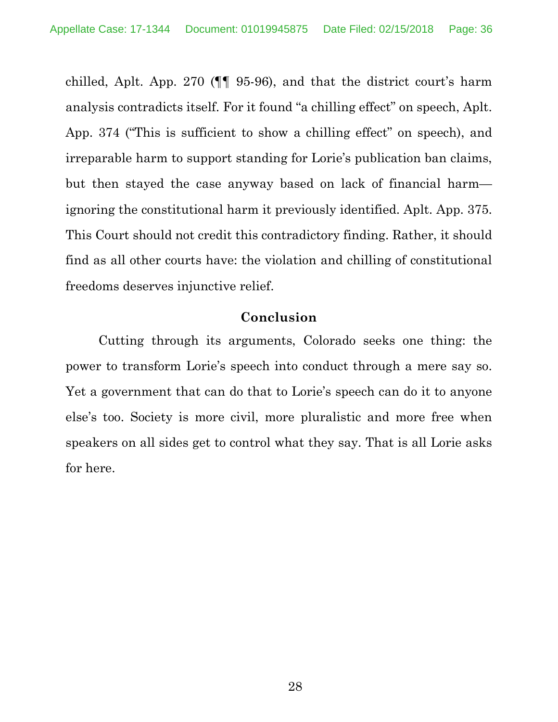chilled, Aplt. App. 270 (¶¶ 95-96), and that the district court's harm analysis contradicts itself. For it found "a chilling effect" on speech, Aplt. App. 374 ("This is sufficient to show a chilling effect" on speech), and irreparable harm to support standing for Lorie's publication ban claims, but then stayed the case anyway based on lack of financial harm ignoring the constitutional harm it previously identified. Aplt. App. 375. This Court should not credit this contradictory finding. Rather, it should find as all other courts have: the violation and chilling of constitutional freedoms deserves injunctive relief.

### **Conclusion**

Cutting through its arguments, Colorado seeks one thing: the power to transform Lorie's speech into conduct through a mere say so. Yet a government that can do that to Lorie's speech can do it to anyone else's too. Society is more civil, more pluralistic and more free when speakers on all sides get to control what they say. That is all Lorie asks for here.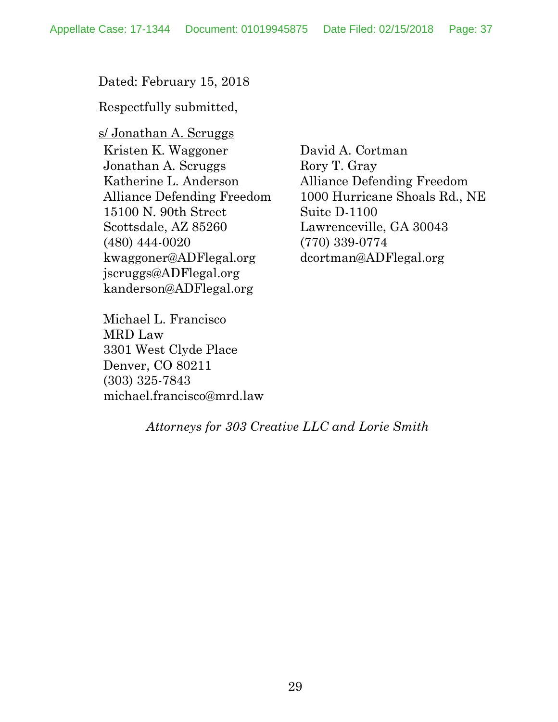Dated: February 15, 2018

Respectfully submitted,

s/ Jonathan A. Scruggs Kristen K. Waggoner Jonathan A. Scruggs Katherine L. Anderson Alliance Defending Freedom 15100 N. 90th Street Scottsdale, AZ 85260 (480) 444-0020 kwaggoner@ADFlegal.org jscruggs@ADFlegal.org kanderson@ADFlegal.org

David A. Cortman Rory T. Gray Alliance Defending Freedom 1000 Hurricane Shoals Rd., NE Suite D-1100 Lawrenceville, GA 30043 (770) 339-0774 dcortman@ADFlegal.org

Michael L. Francisco MRD Law 3301 West Clyde Place Denver, CO 80211 (303) 325-7843 michael.francisco@mrd.law

*Attorneys for 303 Creative LLC and Lorie Smith*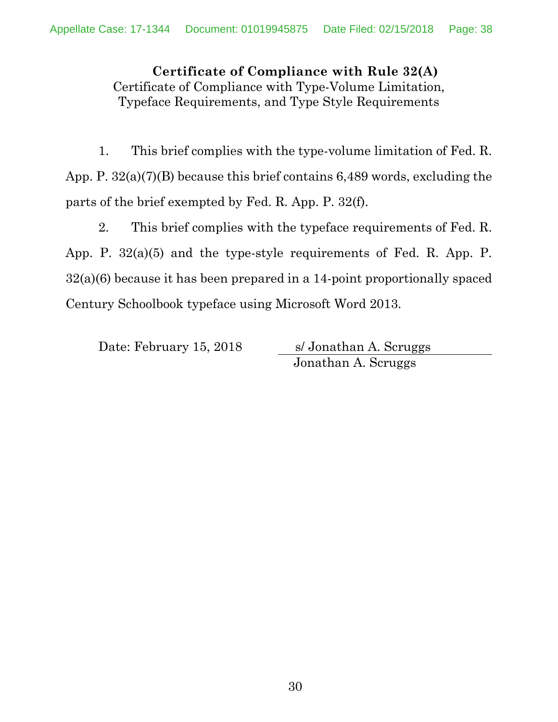**Certificate of Compliance with Rule 32(A)** Certificate of Compliance with Type-Volume Limitation, Typeface Requirements, and Type Style Requirements

1. This brief complies with the type-volume limitation of Fed. R. App. P. 32(a)(7)(B) because this brief contains 6,489 words, excluding the parts of the brief exempted by Fed. R. App. P. 32(f).

2. This brief complies with the typeface requirements of Fed. R. App. P. 32(a)(5) and the type-style requirements of Fed. R. App. P. 32(a)(6) because it has been prepared in a 14-point proportionally spaced Century Schoolbook typeface using Microsoft Word 2013.

Date: February 15, 2018 s/ Jonathan A. Scruggs Jonathan A. Scruggs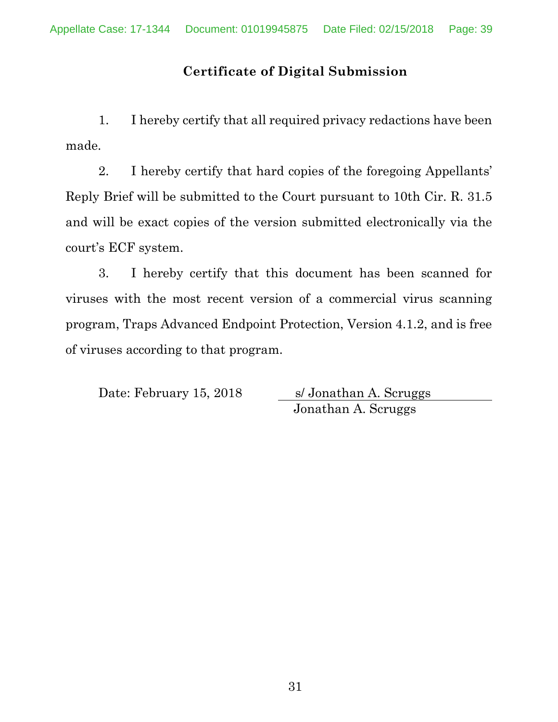# **Certificate of Digital Submission**

1. I hereby certify that all required privacy redactions have been made.

2. I hereby certify that hard copies of the foregoing Appellants' Reply Brief will be submitted to the Court pursuant to 10th Cir. R. 31.5 and will be exact copies of the version submitted electronically via the court's ECF system.

3. I hereby certify that this document has been scanned for viruses with the most recent version of a commercial virus scanning program, Traps Advanced Endpoint Protection, Version 4.1.2, and is free of viruses according to that program.

Date: February 15, 2018 s/ Jonathan A. Scruggs

Jonathan A. Scruggs